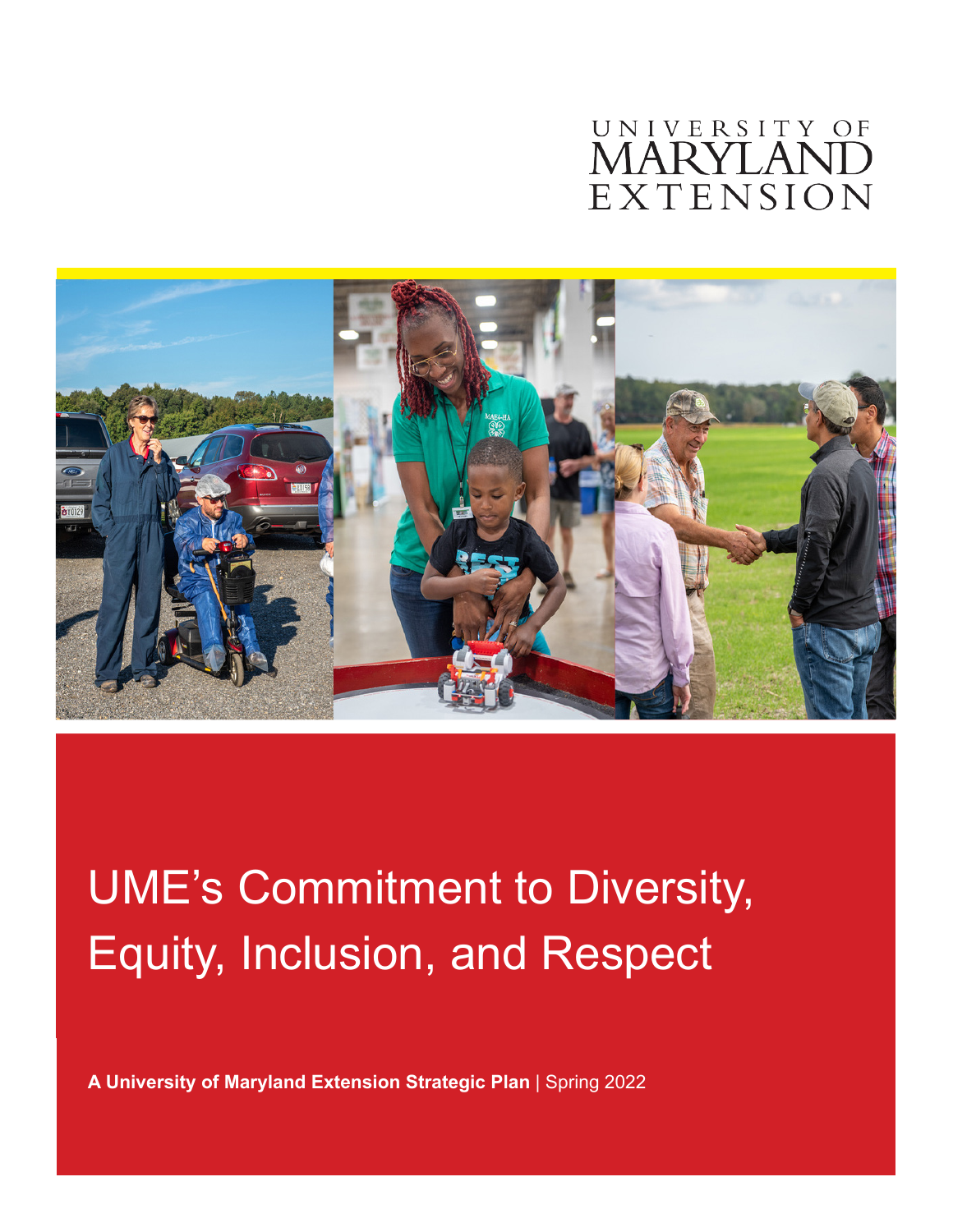# UNIVERSITY OF **MARYLANI** EXTENSION



# UME's Commitment to Diversity, Equity, Inclusion, and Respect

**A University of Maryland Extension Strategic Plan** | Spring 2022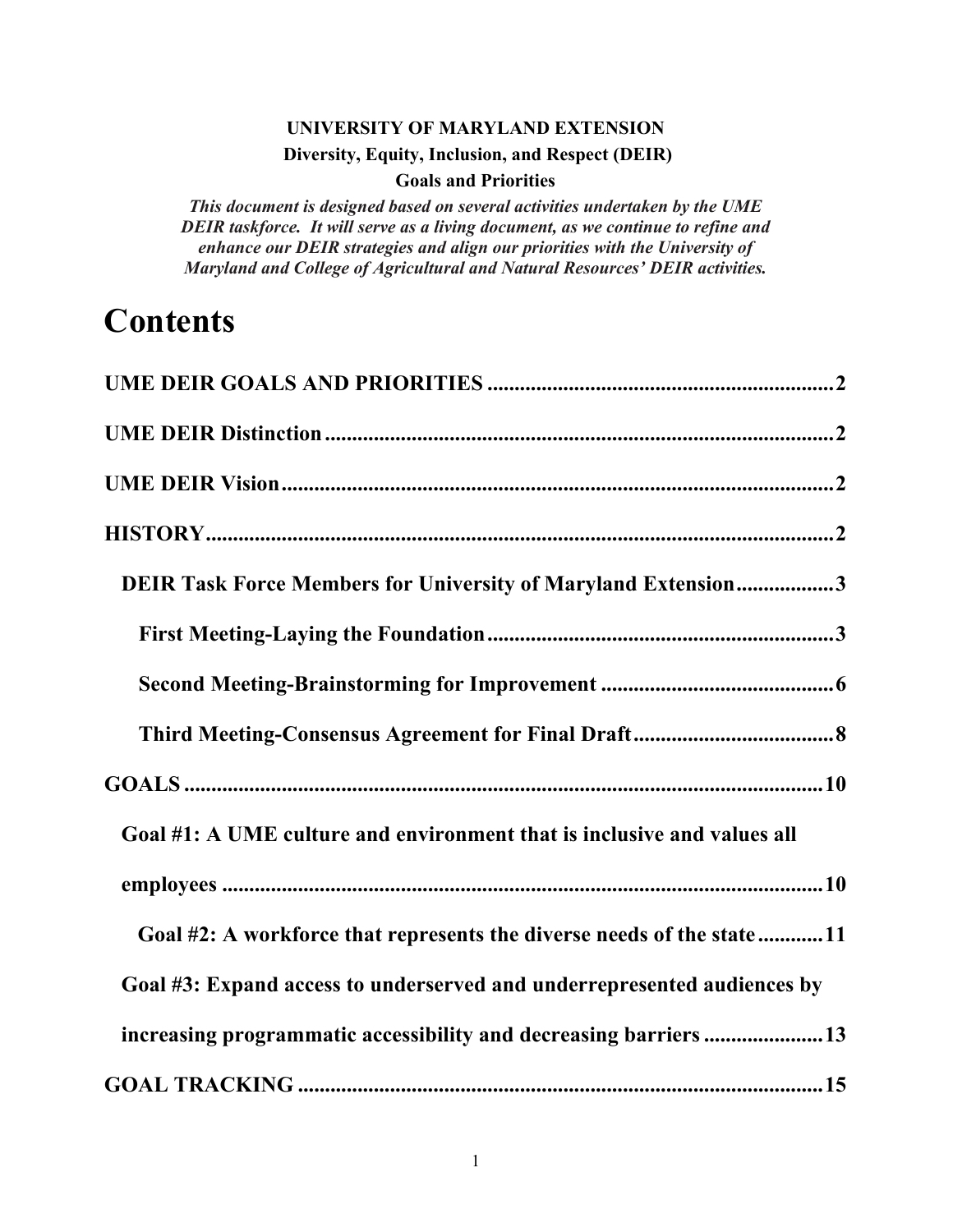## **UNIVERSITY OF MARYLAND EXTENSION Diversity, Equity, Inclusion, and Respect (DEIR) Goals and Priorities**

*This document is designed based on several activities undertaken by the UME DEIR taskforce. It will serve as a living document, as we continue to refine and enhance our DEIR strategies and align our priorities with the University of Maryland and College of Agricultural and Natural Resources' DEIR activities.*

# **Contents**

| DEIR Task Force Members for University of Maryland Extension3           |
|-------------------------------------------------------------------------|
|                                                                         |
|                                                                         |
|                                                                         |
|                                                                         |
| Goal #1: A UME culture and environment that is inclusive and values all |
|                                                                         |
| Goal #2: A workforce that represents the diverse needs of the state11   |
| Goal #3: Expand access to underserved and underrepresented audiences by |
| increasing programmatic accessibility and decreasing barriers 13        |
|                                                                         |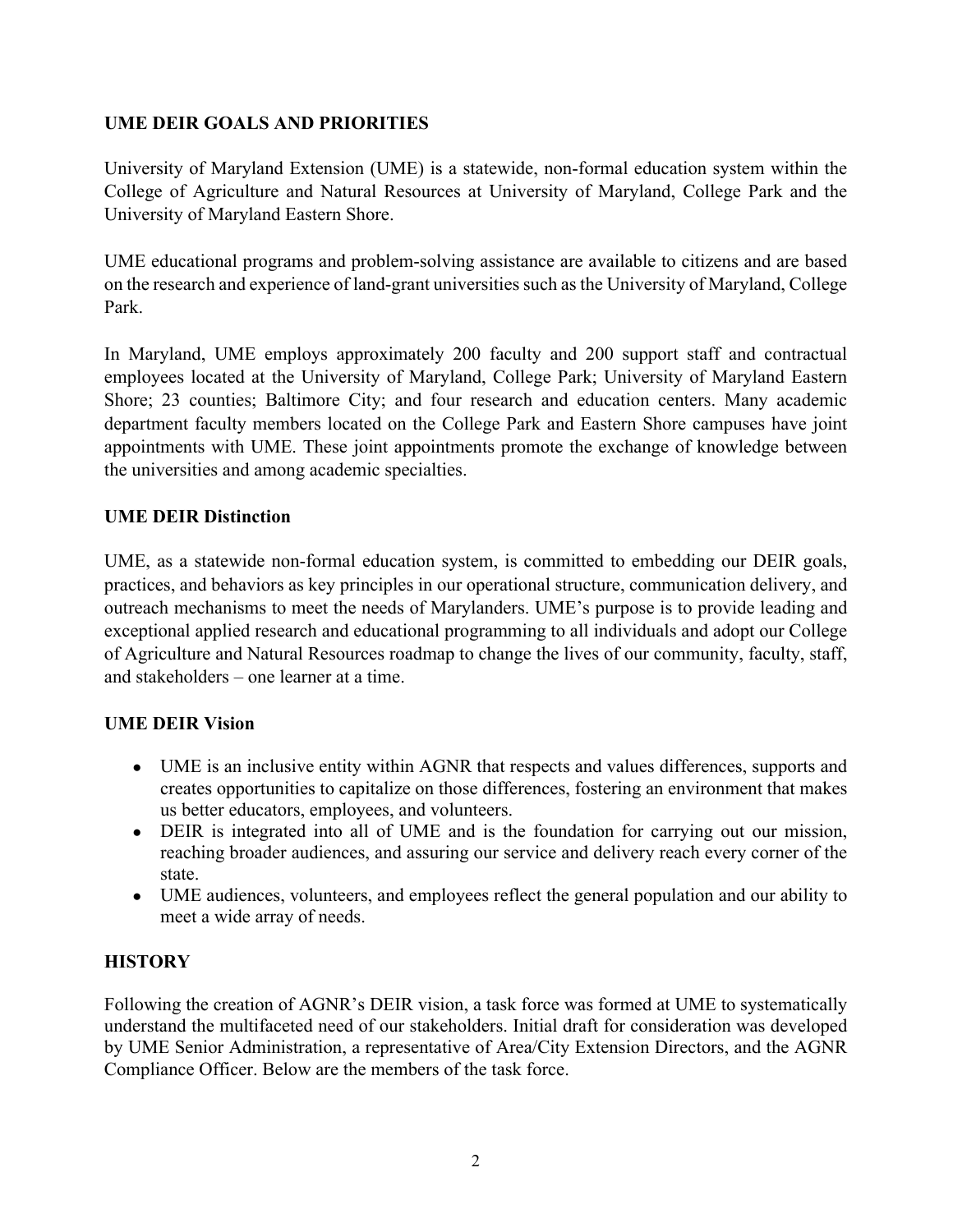#### <span id="page-2-0"></span>**UME DEIR GOALS AND PRIORITIES**

University of Maryland Extension (UME) is a statewide, non-formal education system within the College of Agriculture and Natural Resources at University of Maryland, College Park and the University of Maryland Eastern Shore.

UME educational programs and problem-solving assistance are available to citizens and are based on the research and experience of land-grant universities such as the University of Maryland, College Park.

In Maryland, UME employs approximately 200 faculty and 200 support staff and contractual employees located at the University of Maryland, College Park; University of Maryland Eastern Shore; 23 counties; Baltimore City; and four research and education centers. Many academic department faculty members located on the College Park and Eastern Shore campuses have joint appointments with UME. These joint appointments promote the exchange of knowledge between the universities and among academic specialties.

#### <span id="page-2-1"></span>**UME DEIR Distinction**

UME, as a statewide non-formal education system, is committed to embedding our DEIR goals, practices, and behaviors as key principles in our operational structure, communication delivery, and outreach mechanisms to meet the needs of Marylanders. UME's purpose is to provide leading and exceptional applied research and educational programming to all individuals and adopt our College of Agriculture and Natural Resources roadmap to change the lives of our community, faculty, staff, and stakeholders – one learner at a time.

#### <span id="page-2-2"></span>**UME DEIR Vision**

- UME is an inclusive entity within AGNR that respects and values differences, supports and creates opportunities to capitalize on those differences, fostering an environment that makes us better educators, employees, and volunteers.
- DEIR is integrated into all of UME and is the foundation for carrying out our mission, reaching broader audiences, and assuring our service and delivery reach every corner of the state.
- UME audiences, volunteers, and employees reflect the general population and our ability to meet a wide array of needs.

#### <span id="page-2-3"></span>**HISTORY**

<span id="page-2-4"></span>Following the creation of AGNR's DEIR vision, a task force was formed at UME to systematically understand the multifaceted need of our stakeholders. Initial draft for consideration was developed by UME Senior Administration, a representative of Area/City Extension Directors, and the AGNR Compliance Officer. Below are the members of the task force.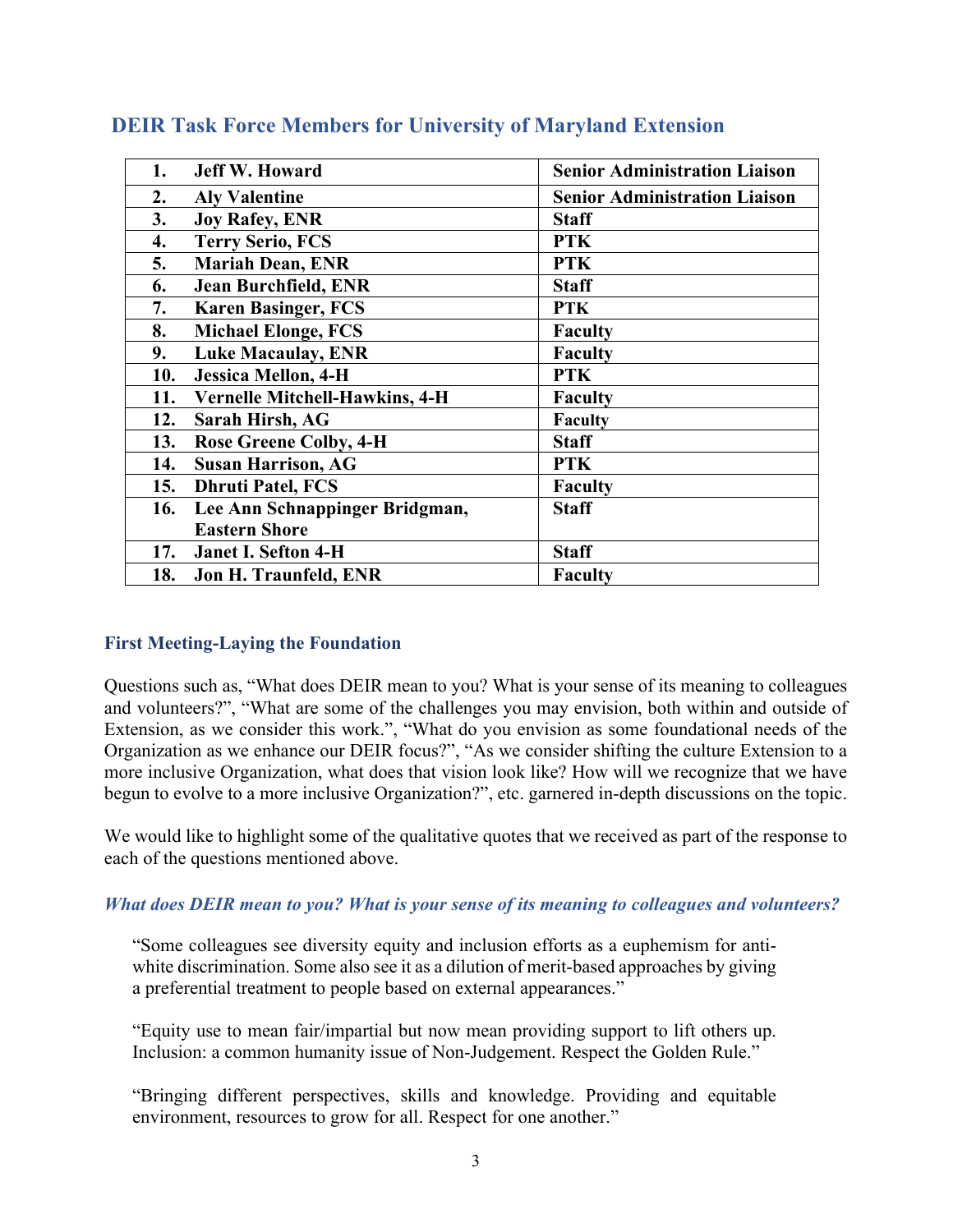| <b>Jeff W. Howard</b><br>1.                  | <b>Senior Administration Liaison</b> |
|----------------------------------------------|--------------------------------------|
| 2.<br><b>Aly Valentine</b>                   | <b>Senior Administration Liaison</b> |
| 3.<br><b>Joy Rafey, ENR</b>                  | <b>Staff</b>                         |
| 4.<br><b>Terry Serio, FCS</b>                | <b>PTK</b>                           |
| 5.<br><b>Mariah Dean, ENR</b>                | <b>PTK</b>                           |
| <b>Jean Burchfield, ENR</b><br>6.            | <b>Staff</b>                         |
| 7.<br><b>Karen Basinger, FCS</b>             | <b>PTK</b>                           |
| <b>Michael Elonge, FCS</b><br>8.             | <b>Faculty</b>                       |
| <b>Luke Macaulay, ENR</b><br>9.              | <b>Faculty</b>                       |
| <b>Jessica Mellon, 4-H</b><br>10.            | <b>PTK</b>                           |
| <b>Vernelle Mitchell-Hawkins, 4-H</b><br>11. | <b>Faculty</b>                       |
| 12.<br>Sarah Hirsh, AG                       | Faculty                              |
| <b>Rose Greene Colby, 4-H</b><br>13.         | <b>Staff</b>                         |
| <b>Susan Harrison, AG</b><br>14.             | <b>PTK</b>                           |
| <b>Dhruti Patel, FCS</b><br>15.              | <b>Faculty</b>                       |
| Lee Ann Schnappinger Bridgman,<br>16.        | <b>Staff</b>                         |
| <b>Eastern Shore</b>                         |                                      |
| 17.<br><b>Janet I. Sefton 4-H</b>            | <b>Staff</b>                         |
| 18.<br>Jon H. Traunfeld, ENR                 | <b>Faculty</b>                       |

## **DEIR Task Force Members for University of Maryland Extension**

#### <span id="page-3-0"></span>**First Meeting-Laying the Foundation**

Questions such as, "What does DEIR mean to you? What is your sense of its meaning to colleagues and volunteers?", "What are some of the challenges you may envision, both within and outside of Extension, as we consider this work.", "What do you envision as some foundational needs of the Organization as we enhance our DEIR focus?", "As we consider shifting the culture Extension to a more inclusive Organization, what does that vision look like? How will we recognize that we have begun to evolve to a more inclusive Organization?", etc. garnered in-depth discussions on the topic.

We would like to highlight some of the qualitative quotes that we received as part of the response to each of the questions mentioned above.

#### *What does DEIR mean to you? What is your sense of its meaning to colleagues and volunteers?*

"Some colleagues see diversity equity and inclusion efforts as a euphemism for antiwhite discrimination. Some also see it as a dilution of merit-based approaches by giving a preferential treatment to people based on external appearances."

"Equity use to mean fair/impartial but now mean providing support to lift others up. Inclusion: a common humanity issue of Non-Judgement. Respect the Golden Rule."

"Bringing different perspectives, skills and knowledge. Providing and equitable environment, resources to grow for all. Respect for one another."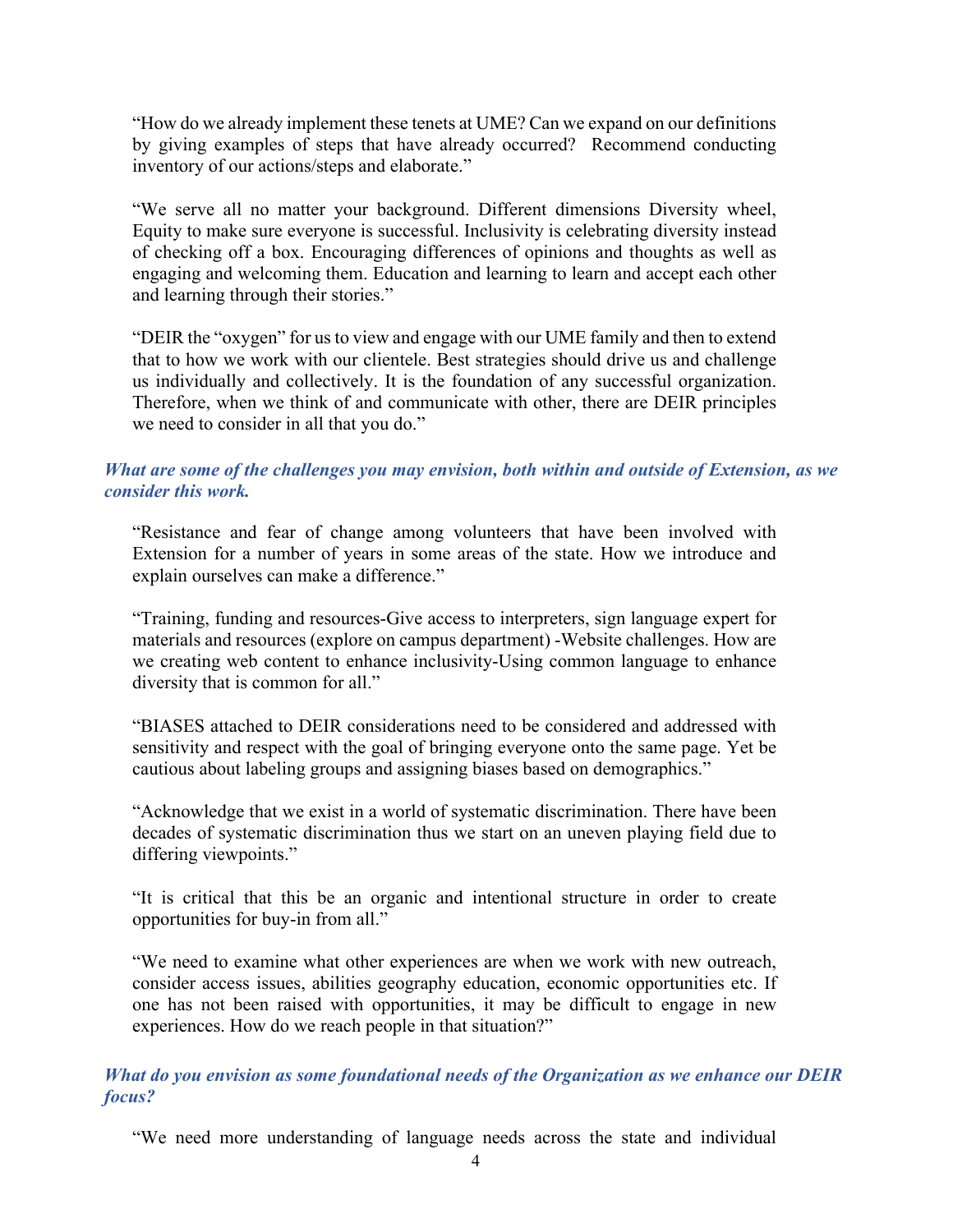"How do we already implement these tenets at UME? Can we expand on our definitions by giving examples of steps that have already occurred? Recommend conducting inventory of our actions/steps and elaborate."

"We serve all no matter your background. Different dimensions Diversity wheel, Equity to make sure everyone is successful. Inclusivity is celebrating diversity instead of checking off a box. Encouraging differences of opinions and thoughts as well as engaging and welcoming them. Education and learning to learn and accept each other and learning through their stories."

"DEIR the "oxygen" for us to view and engage with our UME family and then to extend that to how we work with our clientele. Best strategies should drive us and challenge us individually and collectively. It is the foundation of any successful organization. Therefore, when we think of and communicate with other, there are DEIR principles we need to consider in all that you do."

#### *What are some of the challenges you may envision, both within and outside of Extension, as we consider this work.*

"Resistance and fear of change among volunteers that have been involved with Extension for a number of years in some areas of the state. How we introduce and explain ourselves can make a difference."

"Training, funding and resources-Give access to interpreters, sign language expert for materials and resources (explore on campus department) -Website challenges. How are we creating web content to enhance inclusivity-Using common language to enhance diversity that is common for all."

"BIASES attached to DEIR considerations need to be considered and addressed with sensitivity and respect with the goal of bringing everyone onto the same page. Yet be cautious about labeling groups and assigning biases based on demographics."

"Acknowledge that we exist in a world of systematic discrimination. There have been decades of systematic discrimination thus we start on an uneven playing field due to differing viewpoints."

"It is critical that this be an organic and intentional structure in order to create opportunities for buy-in from all."

"We need to examine what other experiences are when we work with new outreach, consider access issues, abilities geography education, economic opportunities etc. If one has not been raised with opportunities, it may be difficult to engage in new experiences. How do we reach people in that situation?"

*What do you envision as some foundational needs of the Organization as we enhance our DEIR focus?*

"We need more understanding of language needs across the state and individual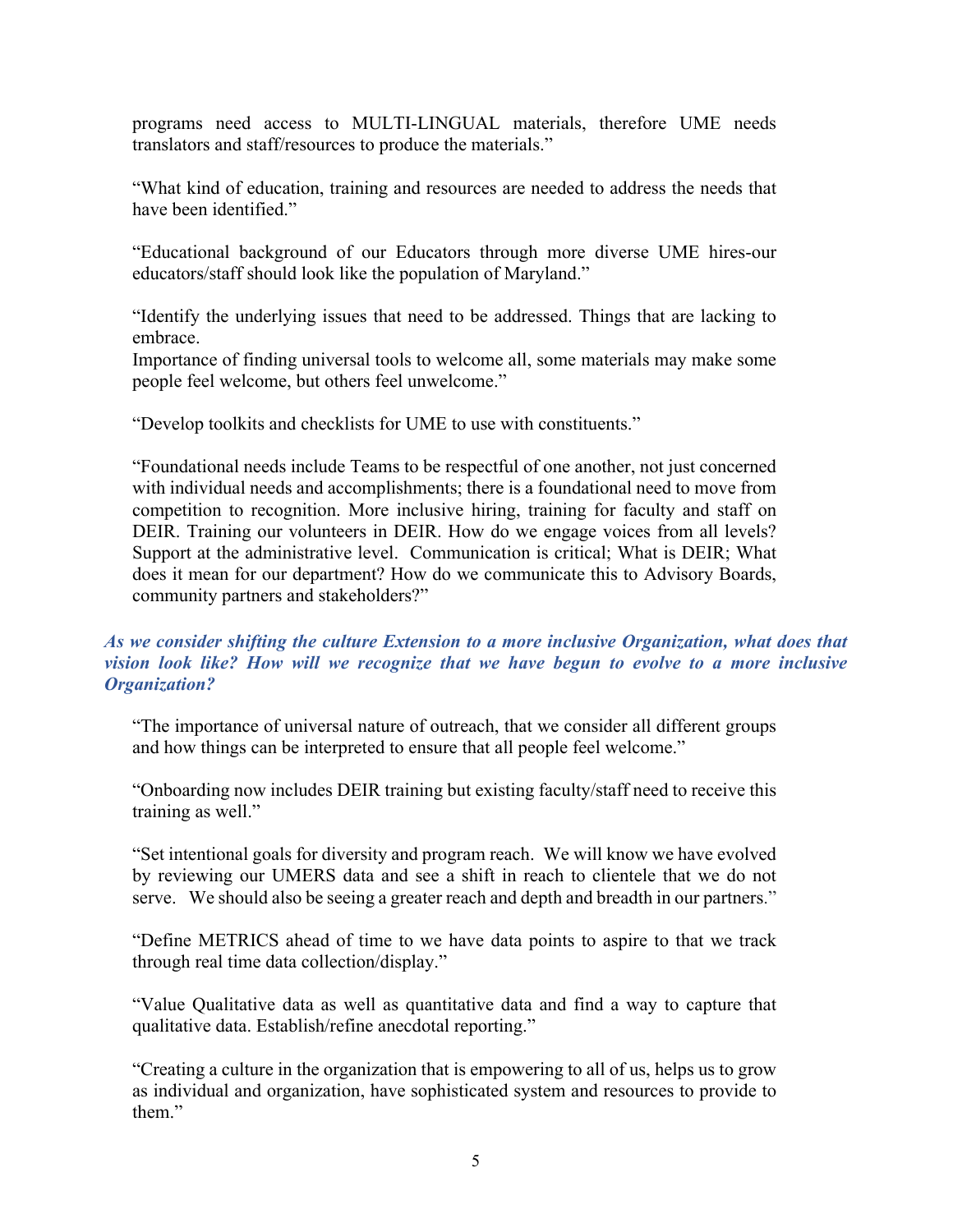programs need access to MULTI-LINGUAL materials, therefore UME needs translators and staff/resources to produce the materials."

"What kind of education, training and resources are needed to address the needs that have been identified."

"Educational background of our Educators through more diverse UME hires-our educators/staff should look like the population of Maryland."

"Identify the underlying issues that need to be addressed. Things that are lacking to embrace.

Importance of finding universal tools to welcome all, some materials may make some people feel welcome, but others feel unwelcome."

"Develop toolkits and checklists for UME to use with constituents."

"Foundational needs include Teams to be respectful of one another, not just concerned with individual needs and accomplishments; there is a foundational need to move from competition to recognition. More inclusive hiring, training for faculty and staff on DEIR. Training our volunteers in DEIR. How do we engage voices from all levels? Support at the administrative level. Communication is critical; What is DEIR; What does it mean for our department? How do we communicate this to Advisory Boards, community partners and stakeholders?"

#### *As we consider shifting the culture Extension to a more inclusive Organization, what does that vision look like? How will we recognize that we have begun to evolve to a more inclusive Organization?*

"The importance of universal nature of outreach, that we consider all different groups and how things can be interpreted to ensure that all people feel welcome."

"Onboarding now includes DEIR training but existing faculty/staff need to receive this training as well."

"Set intentional goals for diversity and program reach. We will know we have evolved by reviewing our UMERS data and see a shift in reach to clientele that we do not serve. We should also be seeing a greater reach and depth and breadth in our partners."

"Define METRICS ahead of time to we have data points to aspire to that we track through real time data collection/display."

"Value Qualitative data as well as quantitative data and find a way to capture that qualitative data. Establish/refine anecdotal reporting."

"Creating a culture in the organization that is empowering to all of us, helps us to grow as individual and organization, have sophisticated system and resources to provide to them."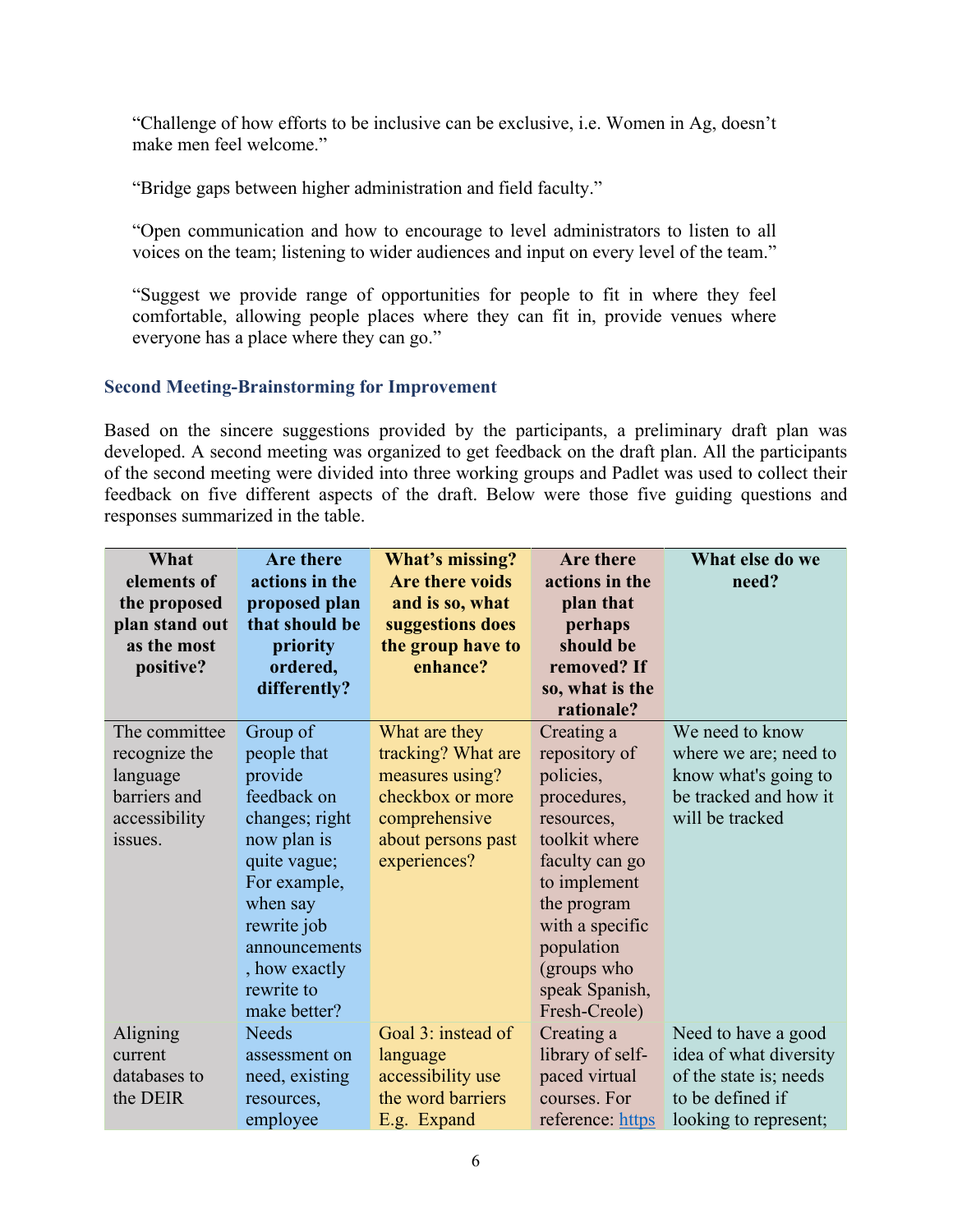"Challenge of how efforts to be inclusive can be exclusive, i.e. Women in Ag, doesn't make men feel welcome."

"Bridge gaps between higher administration and field faculty."

"Open communication and how to encourage to level administrators to listen to all voices on the team; listening to wider audiences and input on every level of the team."

"Suggest we provide range of opportunities for people to fit in where they feel comfortable, allowing people places where they can fit in, provide venues where everyone has a place where they can go."

#### <span id="page-6-0"></span>**Second Meeting-Brainstorming for Improvement**

Based on the sincere suggestions provided by the participants, a preliminary draft plan was developed. A second meeting was organized to get feedback on the draft plan. All the participants of the second meeting were divided into three working groups and Padlet was used to collect their feedback on five different aspects of the draft. Below were those five guiding questions and responses summarized in the table.

| What           | Are there      | What's missing?        | Are there        | What else do we        |
|----------------|----------------|------------------------|------------------|------------------------|
| elements of    | actions in the | <b>Are there voids</b> | actions in the   | need?                  |
| the proposed   | proposed plan  | and is so, what        | plan that        |                        |
| plan stand out | that should be | suggestions does       | perhaps          |                        |
| as the most    | priority       | the group have to      | should be        |                        |
| positive?      | ordered,       | enhance?               | removed? If      |                        |
|                | differently?   |                        | so, what is the  |                        |
|                |                |                        | rationale?       |                        |
| The committee  | Group of       | What are they          | Creating a       | We need to know        |
| recognize the  | people that    | tracking? What are     | repository of    | where we are; need to  |
| language       | provide        | measures using?        | policies,        | know what's going to   |
| barriers and   | feedback on    | checkbox or more       | procedures,      | be tracked and how it  |
| accessibility  | changes; right | comprehensive          | resources,       | will be tracked        |
| issues.        | now plan is    | about persons past     | toolkit where    |                        |
|                | quite vague;   | experiences?           | faculty can go   |                        |
|                | For example,   |                        | to implement     |                        |
|                | when say       |                        | the program      |                        |
|                | rewrite job    |                        | with a specific  |                        |
|                | announcements  |                        | population       |                        |
|                | , how exactly  |                        | (groups who      |                        |
|                | rewrite to     |                        | speak Spanish,   |                        |
|                | make better?   |                        | Fresh-Creole)    |                        |
| Aligning       | <b>Needs</b>   | Goal 3: instead of     | Creating a       | Need to have a good    |
| current        | assessment on  | language               | library of self- | idea of what diversity |
| databases to   | need, existing | accessibility use      | paced virtual    | of the state is; needs |
| the DEIR       | resources,     | the word barriers      | courses. For     | to be defined if       |
|                | employee       | E.g. Expand            | reference: https | looking to represent;  |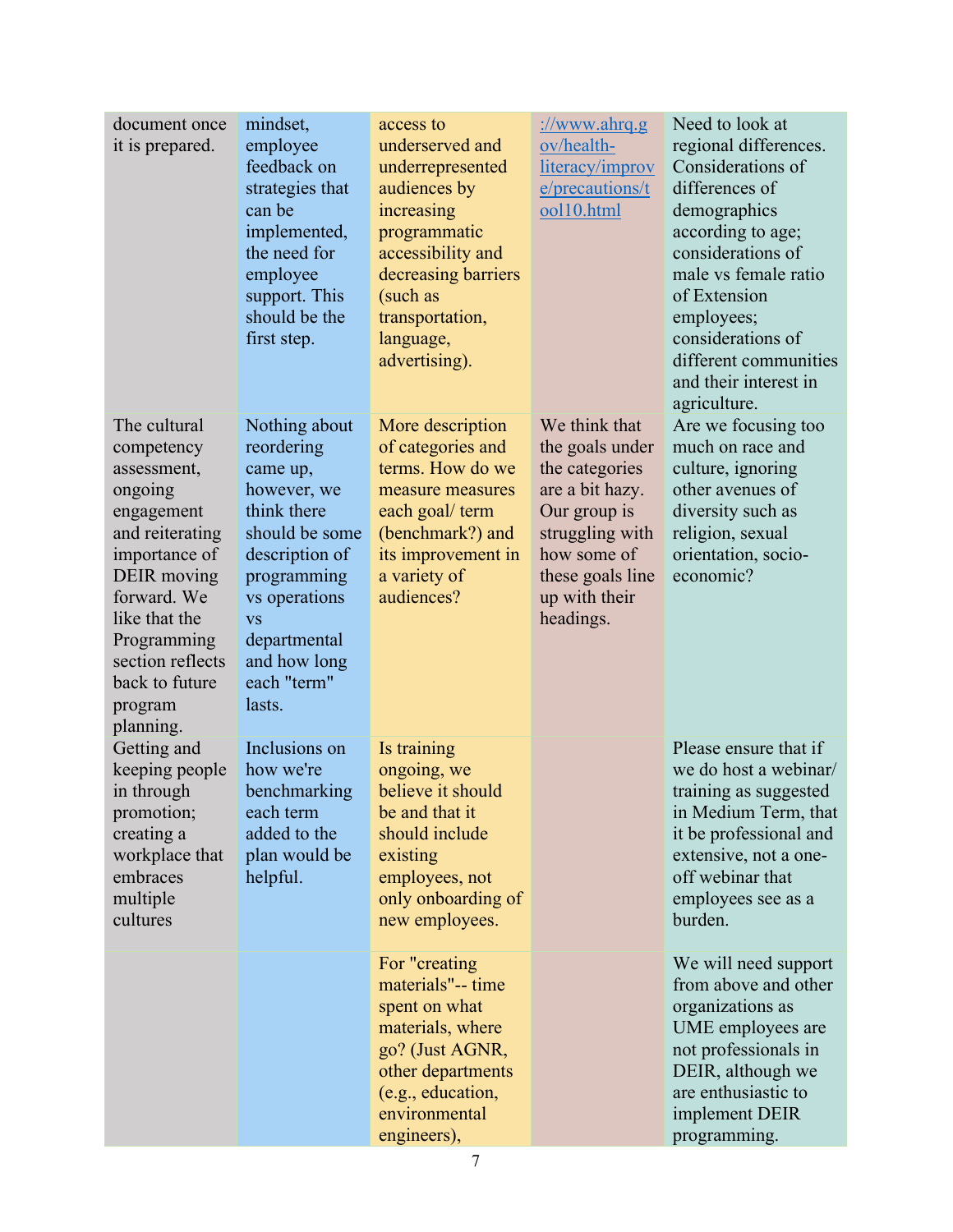| document once<br>it is prepared.                                                                                                                                                                                                   | mindset,<br>employee<br>feedback on<br>strategies that<br>can be<br>implemented,<br>the need for<br>employee<br>support. This<br>should be the<br>first step.                                                   | access to<br>underserved and<br>underrepresented<br>audiences by<br>increasing<br>programmatic<br>accessibility and<br>decreasing barriers<br>(such as<br>transportation,<br>language,<br>advertising). | ://www.ahrq.g<br>ov/health-<br>literacy/improv<br>e/precautions/t<br>ool10.html                                                                                           | Need to look at<br>regional differences.<br>Considerations of<br>differences of<br>demographics<br>according to age;<br>considerations of<br>male vs female ratio<br>of Extension<br>employees;<br>considerations of<br>different communities<br>and their interest in<br>agriculture. |
|------------------------------------------------------------------------------------------------------------------------------------------------------------------------------------------------------------------------------------|-----------------------------------------------------------------------------------------------------------------------------------------------------------------------------------------------------------------|---------------------------------------------------------------------------------------------------------------------------------------------------------------------------------------------------------|---------------------------------------------------------------------------------------------------------------------------------------------------------------------------|----------------------------------------------------------------------------------------------------------------------------------------------------------------------------------------------------------------------------------------------------------------------------------------|
| The cultural<br>competency<br>assessment,<br>ongoing<br>engagement<br>and reiterating<br>importance of<br>DEIR moving<br>forward. We<br>like that the<br>Programming<br>section reflects<br>back to future<br>program<br>planning. | Nothing about<br>reordering<br>came up,<br>however, we<br>think there<br>should be some<br>description of<br>programming<br>vs operations<br><b>VS</b><br>departmental<br>and how long<br>each "term"<br>lasts. | More description<br>of categories and<br>terms. How do we<br>measure measures<br>each goal/ term<br>(benchmark?) and<br>its improvement in<br>a variety of<br>audiences?                                | We think that<br>the goals under<br>the categories<br>are a bit hazy.<br>Our group is<br>struggling with<br>how some of<br>these goals line<br>up with their<br>headings. | Are we focusing too<br>much on race and<br>culture, ignoring<br>other avenues of<br>diversity such as<br>religion, sexual<br>orientation, socio-<br>economic?                                                                                                                          |
| Getting and<br>keeping people<br>in through<br>promotion;<br>creating a<br>workplace that<br>embraces<br>multiple<br>cultures                                                                                                      | Inclusions on<br>how we're<br>benchmarking<br>each term<br>added to the<br>plan would be<br>helpful.                                                                                                            | Is training<br>ongoing, we<br>believe it should<br>be and that it<br>should include<br>existing<br>employees, not<br>only onboarding of<br>new employees.                                               |                                                                                                                                                                           | Please ensure that if<br>we do host a webinar/<br>training as suggested<br>in Medium Term, that<br>it be professional and<br>extensive, not a one-<br>off webinar that<br>employees see as a<br>burden.                                                                                |
|                                                                                                                                                                                                                                    |                                                                                                                                                                                                                 | For "creating<br>materials"-- time<br>spent on what<br>materials, where<br>go? (Just AGNR,<br>other departments<br>(e.g., education,<br>environmental<br>engineers),                                    |                                                                                                                                                                           | We will need support<br>from above and other<br>organizations as<br>UME employees are<br>not professionals in<br>DEIR, although we<br>are enthusiastic to<br>implement DEIR<br>programming.                                                                                            |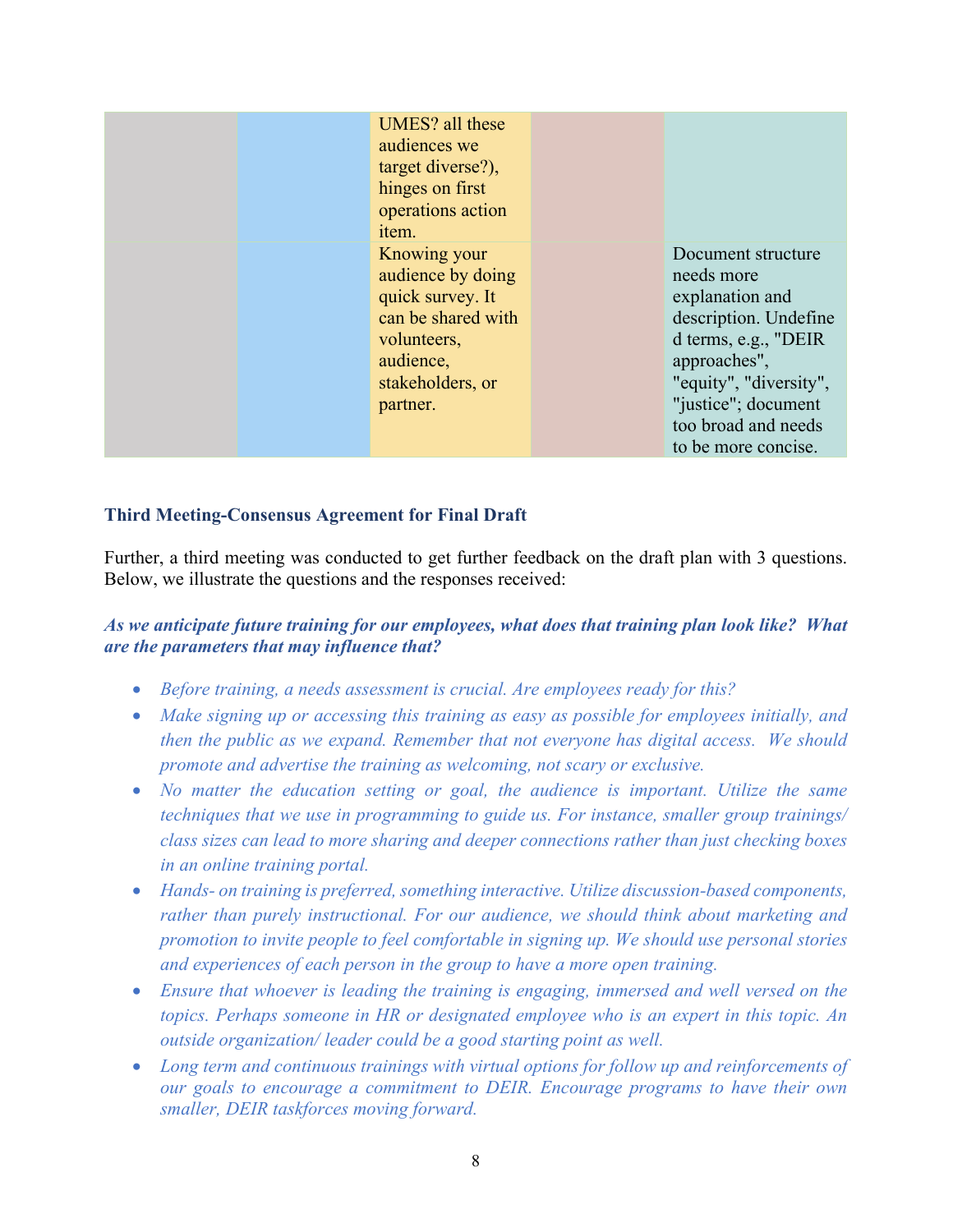| UMES? all these<br>audiences we<br>target diverse?),<br>hinges on first<br>operations action<br>item.                                   |                                                                                                                                                                                                                     |
|-----------------------------------------------------------------------------------------------------------------------------------------|---------------------------------------------------------------------------------------------------------------------------------------------------------------------------------------------------------------------|
| Knowing your<br>audience by doing<br>quick survey. It<br>can be shared with<br>volunteers,<br>audience,<br>stakeholders, or<br>partner. | Document structure<br>needs more<br>explanation and<br>description. Undefine<br>d terms, e.g., "DEIR<br>approaches",<br>"equity", "diversity",<br>"justice"; document<br>too broad and needs<br>to be more concise. |

#### <span id="page-8-0"></span>**Third Meeting-Consensus Agreement for Final Draft**

Further, a third meeting was conducted to get further feedback on the draft plan with 3 questions. Below, we illustrate the questions and the responses received:

#### *As we anticipate future training for our employees, what does that training plan look like? What are the parameters that may influence that?*

- *Before training, a needs assessment is crucial. Are employees ready for this?*
- *Make signing up or accessing this training as easy as possible for employees initially, and then the public as we expand. Remember that not everyone has digital access. We should promote and advertise the training as welcoming, not scary or exclusive.*
- *No matter the education setting or goal, the audience is important. Utilize the same techniques that we use in programming to guide us. For instance, smaller group trainings/ class sizes can lead to more sharing and deeper connections rather than just checking boxes in an online training portal.*
- *Hands- on training is preferred, something interactive. Utilize discussion-based components, rather than purely instructional. For our audience, we should think about marketing and promotion to invite people to feel comfortable in signing up. We should use personal stories and experiences of each person in the group to have a more open training.*
- *Ensure that whoever is leading the training is engaging, immersed and well versed on the topics. Perhaps someone in HR or designated employee who is an expert in this topic. An outside organization/ leader could be a good starting point as well.*
- *Long term and continuous trainings with virtual options for follow up and reinforcements of our goals to encourage a commitment to DEIR. Encourage programs to have their own smaller, DEIR taskforces moving forward.*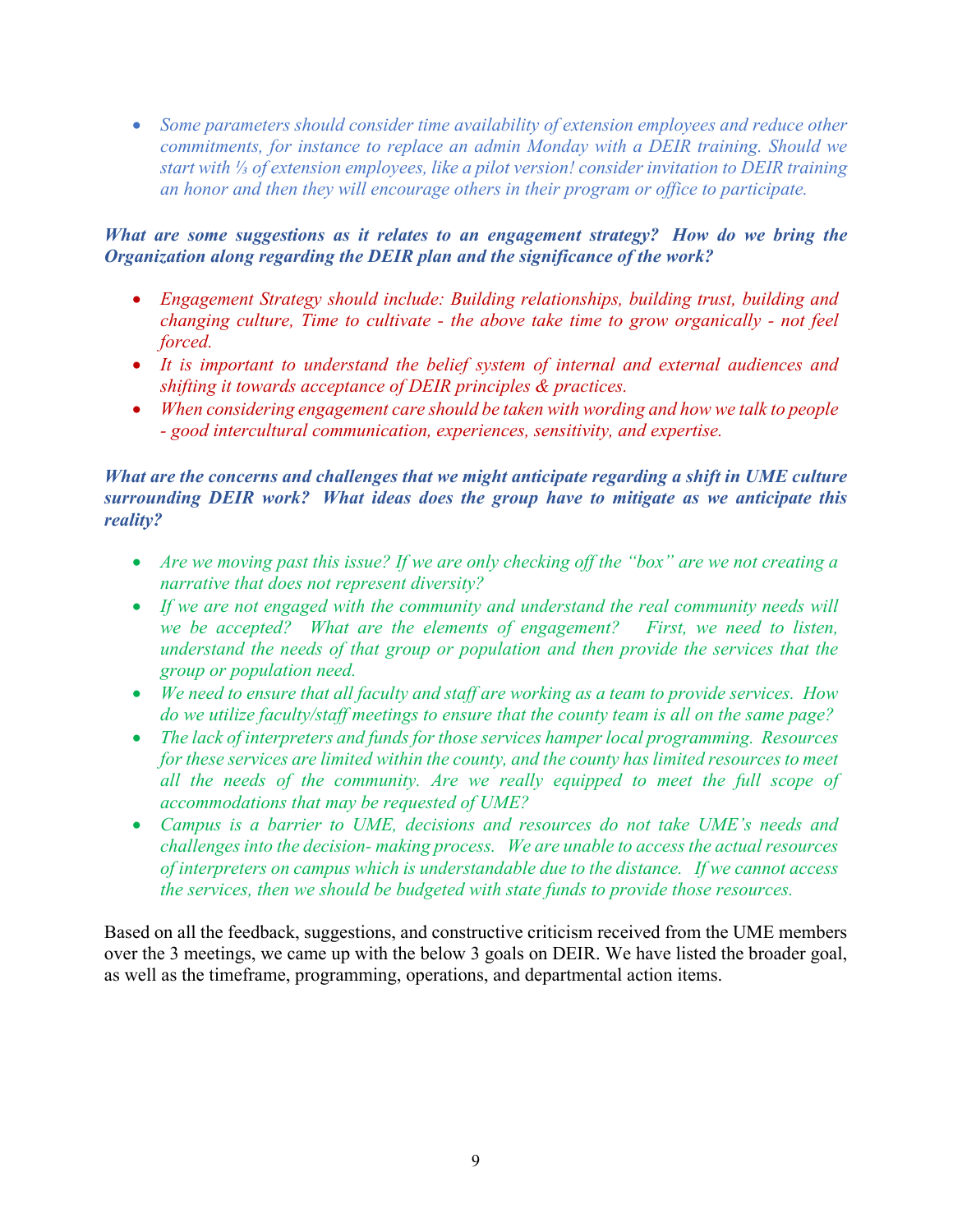• *Some parameters should consider time availability of extension employees and reduce other commitments, for instance to replace an admin Monday with a DEIR training. Should we start with ⅓ of extension employees, like a pilot version! consider invitation to DEIR training an honor and then they will encourage others in their program or office to participate.* 

#### *What are some suggestions as it relates to an engagement strategy? How do we bring the Organization along regarding the DEIR plan and the significance of the work?*

- *Engagement Strategy should include: Building relationships, building trust, building and changing culture, Time to cultivate - the above take time to grow organically - not feel forced.*
- *It is important to understand the belief system of internal and external audiences and shifting it towards acceptance of DEIR principles & practices.*
- *When considering engagement care should be taken with wording and how we talk to people - good intercultural communication, experiences, sensitivity, and expertise.*

#### *What are the concerns and challenges that we might anticipate regarding a shift in UME culture surrounding DEIR work? What ideas does the group have to mitigate as we anticipate this reality?*

- *Are we moving past this issue? If we are only checking off the "box" are we not creating a narrative that does not represent diversity?*
- *If we are not engaged with the community and understand the real community needs will we be accepted? What are the elements of engagement? First, we need to listen, understand the needs of that group or population and then provide the services that the group or population need.*
- *We need to ensure that all faculty and staff are working as a team to provide services. How do we utilize faculty/staff meetings to ensure that the county team is all on the same page?*
- *The lack of interpreters and funds for those services hamper local programming. Resources for these services are limited within the county, and the county has limited resources to meet all the needs of the community. Are we really equipped to meet the full scope of accommodations that may be requested of UME?*
- *Campus is a barrier to UME, decisions and resources do not take UME's needs and challenges into the decision- making process. We are unable to access the actual resources of interpreters on campus which is understandable due to the distance. If we cannot access the services, then we should be budgeted with state funds to provide those resources.*

<span id="page-9-0"></span>Based on all the feedback, suggestions, and constructive criticism received from the UME members over the 3 meetings, we came up with the below 3 goals on DEIR. We have listed the broader goal, as well as the timeframe, programming, operations, and departmental action items.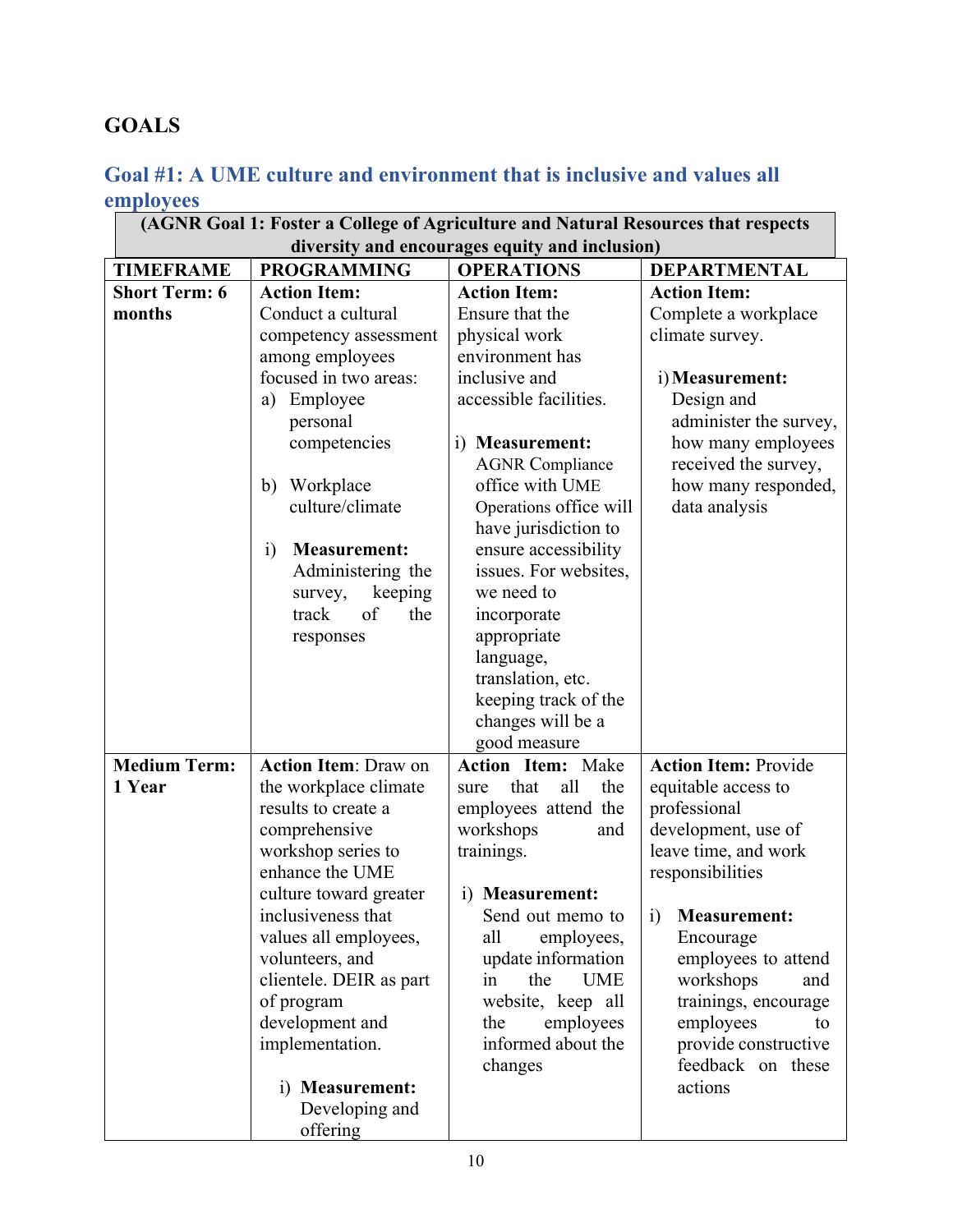# **GOALS**

# <span id="page-10-0"></span>**Goal #1: A UME culture and environment that is inclusive and values all employees**

| (AGNR Goal 1: Foster a College of Agriculture and Natural Resources that respects |                                       |                                                |                                             |
|-----------------------------------------------------------------------------------|---------------------------------------|------------------------------------------------|---------------------------------------------|
|                                                                                   |                                       | diversity and encourages equity and inclusion) |                                             |
| <b>TIMEFRAME</b>                                                                  | <b>PROGRAMMING</b>                    | <b>OPERATIONS</b>                              | <b>DEPARTMENTAL</b>                         |
| <b>Short Term: 6</b>                                                              | <b>Action Item:</b>                   | <b>Action Item:</b>                            | <b>Action Item:</b>                         |
| months                                                                            | Conduct a cultural                    | Ensure that the                                | Complete a workplace                        |
|                                                                                   | competency assessment                 | physical work                                  | climate survey.                             |
|                                                                                   | among employees                       | environment has                                |                                             |
|                                                                                   | focused in two areas:                 | inclusive and                                  | i) Measurement:                             |
|                                                                                   | Employee<br>a)                        | accessible facilities.                         | Design and                                  |
|                                                                                   | personal                              |                                                | administer the survey,                      |
|                                                                                   | competencies                          | i) Measurement:                                | how many employees                          |
|                                                                                   |                                       | <b>AGNR Compliance</b>                         | received the survey,                        |
|                                                                                   | Workplace<br>b)                       | office with UME                                | how many responded,                         |
|                                                                                   | culture/climate                       | Operations office will                         | data analysis                               |
|                                                                                   |                                       | have jurisdiction to                           |                                             |
|                                                                                   | <b>Measurement:</b><br>$\ddot{1}$     | ensure accessibility                           |                                             |
|                                                                                   | Administering the                     | issues. For websites,                          |                                             |
|                                                                                   | keeping<br>survey,                    | we need to                                     |                                             |
|                                                                                   | of<br>the<br>track                    | incorporate                                    |                                             |
|                                                                                   | responses                             | appropriate                                    |                                             |
|                                                                                   |                                       | language,                                      |                                             |
|                                                                                   |                                       | translation, etc.                              |                                             |
|                                                                                   |                                       | keeping track of the                           |                                             |
|                                                                                   |                                       | changes will be a                              |                                             |
|                                                                                   |                                       | good measure                                   |                                             |
| <b>Medium Term:</b>                                                               | <b>Action Item: Draw on</b>           | <b>Action Item: Make</b>                       | <b>Action Item: Provide</b>                 |
| 1 Year                                                                            | the workplace climate                 | all<br>the<br>that<br>sure                     | equitable access to                         |
|                                                                                   | results to create a                   | employees attend the                           | professional                                |
|                                                                                   | comprehensive                         | workshops<br>and                               | development, use of<br>leave time, and work |
|                                                                                   | workshop series to<br>enhance the UME | trainings.                                     | responsibilities                            |
|                                                                                   | culture toward greater                | i) Measurement:                                |                                             |
|                                                                                   | inclusiveness that                    | Send out memo to                               | <b>Measurement:</b><br>1)                   |
|                                                                                   | values all employees,                 | all<br>employees,                              | Encourage                                   |
|                                                                                   | volunteers, and                       | update information                             | employees to attend                         |
|                                                                                   | clientele. DEIR as part               | the<br><b>UME</b><br>in                        | workshops<br>and                            |
|                                                                                   | of program                            | website, keep all                              | trainings, encourage                        |
|                                                                                   | development and                       | the<br>employees                               | employees<br>to                             |
|                                                                                   | implementation.                       | informed about the                             | provide constructive                        |
|                                                                                   |                                       | changes                                        | feedback on these                           |
|                                                                                   | i) Measurement:                       |                                                | actions                                     |
|                                                                                   | Developing and                        |                                                |                                             |
|                                                                                   | offering                              |                                                |                                             |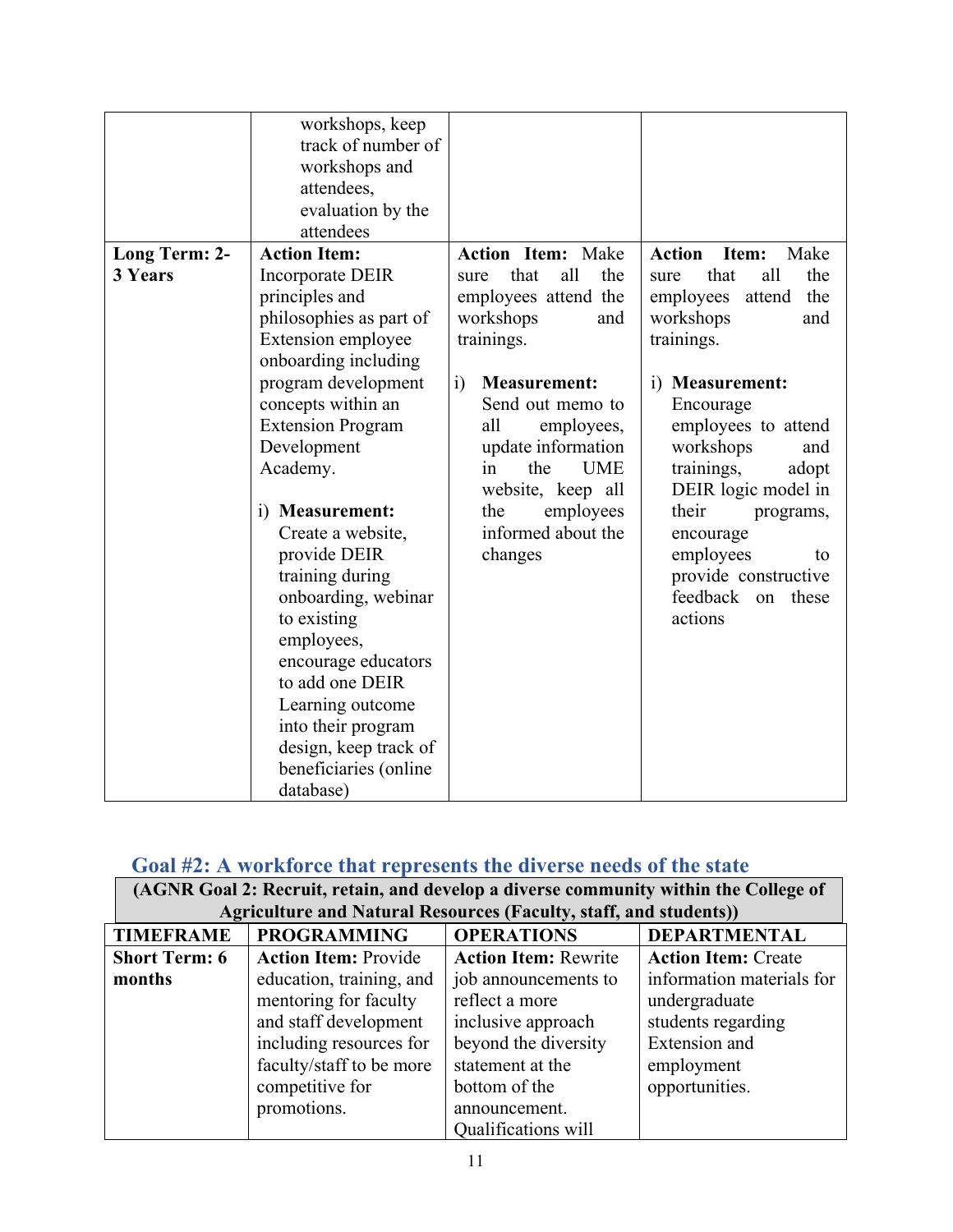|                                 | workshops, keep<br>track of number of<br>workshops and<br>attendees,<br>evaluation by the<br>attendees                                                                                                                                                                                                                                                                                                                                                                                                                   |                                                                                                                                                                                                                                                                                                                           |                                                                                                                                                                                                                                                                                                                                                                        |
|---------------------------------|--------------------------------------------------------------------------------------------------------------------------------------------------------------------------------------------------------------------------------------------------------------------------------------------------------------------------------------------------------------------------------------------------------------------------------------------------------------------------------------------------------------------------|---------------------------------------------------------------------------------------------------------------------------------------------------------------------------------------------------------------------------------------------------------------------------------------------------------------------------|------------------------------------------------------------------------------------------------------------------------------------------------------------------------------------------------------------------------------------------------------------------------------------------------------------------------------------------------------------------------|
| Long Term: 2-<br><b>3 Years</b> | <b>Action Item:</b><br>Incorporate DEIR<br>principles and<br>philosophies as part of<br>Extension employee<br>onboarding including<br>program development<br>concepts within an<br><b>Extension Program</b><br>Development<br>Academy.<br>i) Measurement:<br>Create a website,<br>provide DEIR<br>training during<br>onboarding, webinar<br>to existing<br>employees,<br>encourage educators<br>to add one DEIR<br>Learning outcome<br>into their program<br>design, keep track of<br>beneficiaries (online<br>database) | <b>Action Item: Make</b><br>all<br>that<br>the<br>sure<br>employees attend the<br>workshops<br>and<br>trainings.<br>$\ddot{i}$<br><b>Measurement:</b><br>Send out memo to<br>all<br>employees,<br>update information<br>the<br><b>UME</b><br>in<br>website, keep all<br>the<br>employees<br>informed about the<br>changes | <b>Action</b><br>Item:<br>Make<br>all<br>that<br>the<br>sure<br>the<br>employees<br>attend<br>workshops<br>and<br>trainings.<br>i) Measurement:<br>Encourage<br>employees to attend<br>workshops<br>and<br>trainings,<br>adopt<br>DEIR logic model in<br>their<br>programs,<br>encourage<br>employees<br>to<br>provide constructive<br>feedback<br>on these<br>actions |

# <span id="page-11-0"></span> **Goal #2: A workforce that represents the diverse needs of the state**

| (AGNR Goal 2: Recruit, retain, and develop a diverse community within the College of |                                                                          |                             |                            |
|--------------------------------------------------------------------------------------|--------------------------------------------------------------------------|-----------------------------|----------------------------|
|                                                                                      | <b>Agriculture and Natural Resources (Faculty, staff, and students))</b> |                             |                            |
| <b>TIMEFRAME</b>                                                                     | <b>PROGRAMMING</b>                                                       | <b>OPERATIONS</b>           | <b>DEPARTMENTAL</b>        |
| <b>Short Term: 6</b>                                                                 | <b>Action Item: Provide</b>                                              | <b>Action Item: Rewrite</b> | <b>Action Item: Create</b> |
| months                                                                               | education, training, and                                                 | job announcements to        | information materials for  |
|                                                                                      | mentoring for faculty                                                    | reflect a more              | undergraduate              |
|                                                                                      | and staff development                                                    | inclusive approach          | students regarding         |
|                                                                                      | including resources for                                                  | beyond the diversity        | Extension and              |
|                                                                                      | faculty/staff to be more                                                 | statement at the            | employment                 |
|                                                                                      | competitive for                                                          | bottom of the               | opportunities.             |
|                                                                                      | promotions.                                                              | announcement.               |                            |
|                                                                                      |                                                                          | Qualifications will         |                            |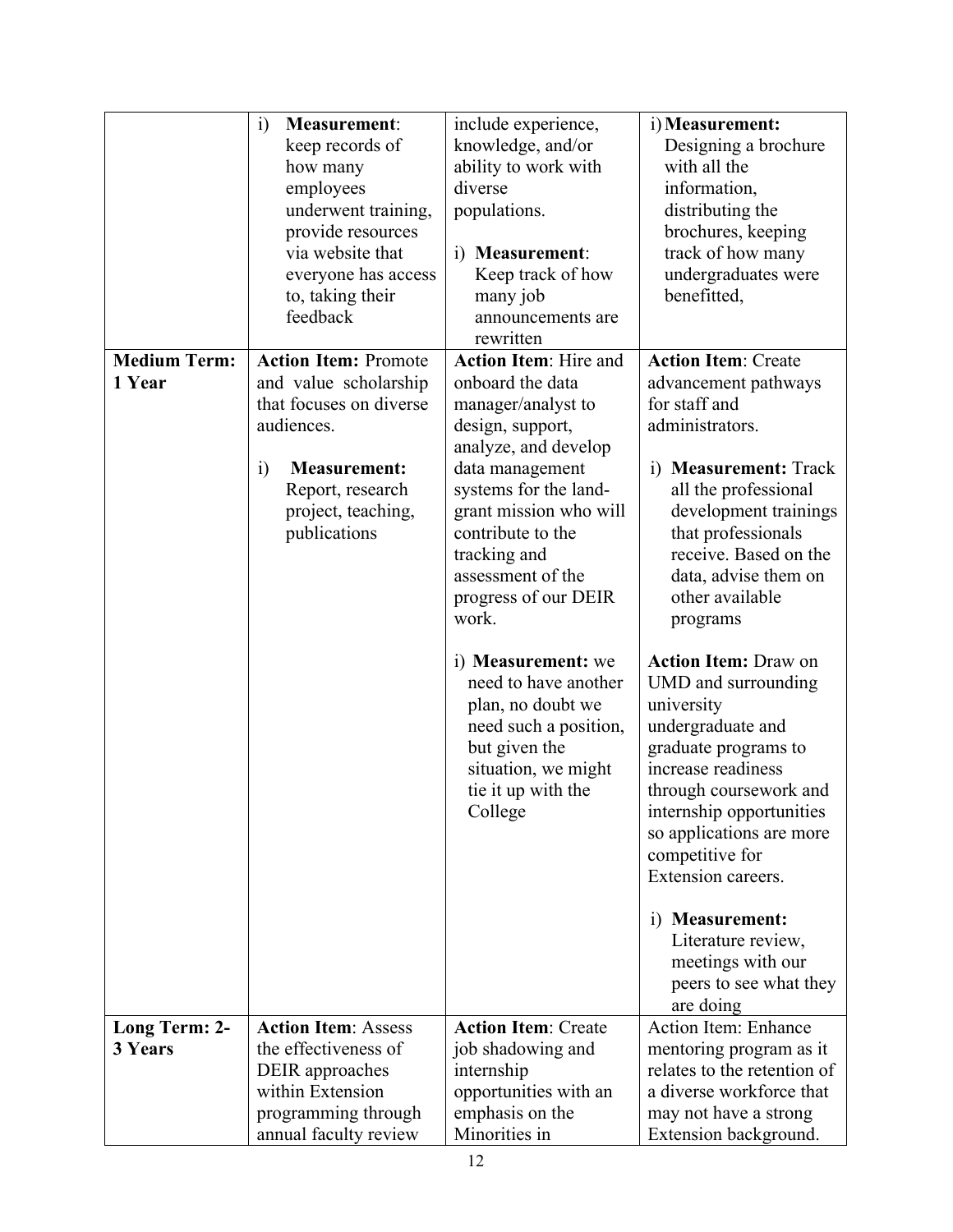|                     | $\ddot{i}$<br><b>Measurement:</b>            | include experience,              | i) Measurement:                                |
|---------------------|----------------------------------------------|----------------------------------|------------------------------------------------|
|                     | keep records of                              | knowledge, and/or                | Designing a brochure                           |
|                     | how many                                     | ability to work with             | with all the                                   |
|                     | employees                                    | diverse                          | information,                                   |
|                     | underwent training,                          | populations.                     | distributing the                               |
|                     | provide resources                            |                                  | brochures, keeping                             |
|                     | via website that                             | i) Measurement:                  | track of how many                              |
|                     | everyone has access                          | Keep track of how                | undergraduates were                            |
|                     | to, taking their                             | many job                         | benefitted,                                    |
|                     | feedback                                     | announcements are                |                                                |
|                     |                                              | rewritten                        |                                                |
| <b>Medium Term:</b> | <b>Action Item: Promote</b>                  | <b>Action Item: Hire and</b>     | <b>Action Item: Create</b>                     |
| 1 Year              | and value scholarship                        | onboard the data                 | advancement pathways                           |
|                     | that focuses on diverse                      | manager/analyst to               | for staff and                                  |
|                     | audiences.                                   | design, support,                 | administrators.                                |
|                     |                                              | analyze, and develop             |                                                |
|                     | <b>Measurement:</b><br>$\ddot{1}$            | data management                  | <b>Measurement: Track</b><br>$\overline{1}$    |
|                     | Report, research                             | systems for the land-            | all the professional                           |
|                     | project, teaching,                           | grant mission who will           | development trainings                          |
|                     | publications                                 | contribute to the                | that professionals                             |
|                     |                                              | tracking and                     | receive. Based on the                          |
|                     |                                              | assessment of the                | data, advise them on                           |
|                     |                                              | progress of our DEIR             | other available                                |
|                     |                                              | work.                            | programs                                       |
|                     |                                              |                                  |                                                |
|                     |                                              | i) <b>Measurement</b> : we       | <b>Action Item: Draw on</b>                    |
|                     |                                              | need to have another             | UMD and surrounding                            |
|                     |                                              | plan, no doubt we                | university                                     |
|                     |                                              | need such a position,            | undergraduate and                              |
|                     |                                              | but given the                    | graduate programs to                           |
|                     |                                              | situation, we might              | increase readiness                             |
|                     |                                              | tie it up with the               | through coursework and                         |
|                     |                                              | College                          | internship opportunities                       |
|                     |                                              |                                  |                                                |
|                     |                                              |                                  | so applications are more                       |
|                     |                                              |                                  | competitive for<br>Extension careers.          |
|                     |                                              |                                  |                                                |
|                     |                                              |                                  | i) Measurement:                                |
|                     |                                              |                                  | Literature review,                             |
|                     |                                              |                                  | meetings with our                              |
|                     |                                              |                                  | peers to see what they                         |
|                     |                                              |                                  | are doing                                      |
| Long Term: 2-       | <b>Action Item: Assess</b>                   | <b>Action Item: Create</b>       | <b>Action Item: Enhance</b>                    |
| 3 Years             | the effectiveness of                         | job shadowing and                | mentoring program as it                        |
|                     | DEIR approaches                              | internship                       | relates to the retention of                    |
|                     | within Extension                             |                                  | a diverse workforce that                       |
|                     |                                              | opportunities with an            |                                                |
|                     | programming through<br>annual faculty review | emphasis on the<br>Minorities in | may not have a strong<br>Extension background. |
|                     |                                              |                                  |                                                |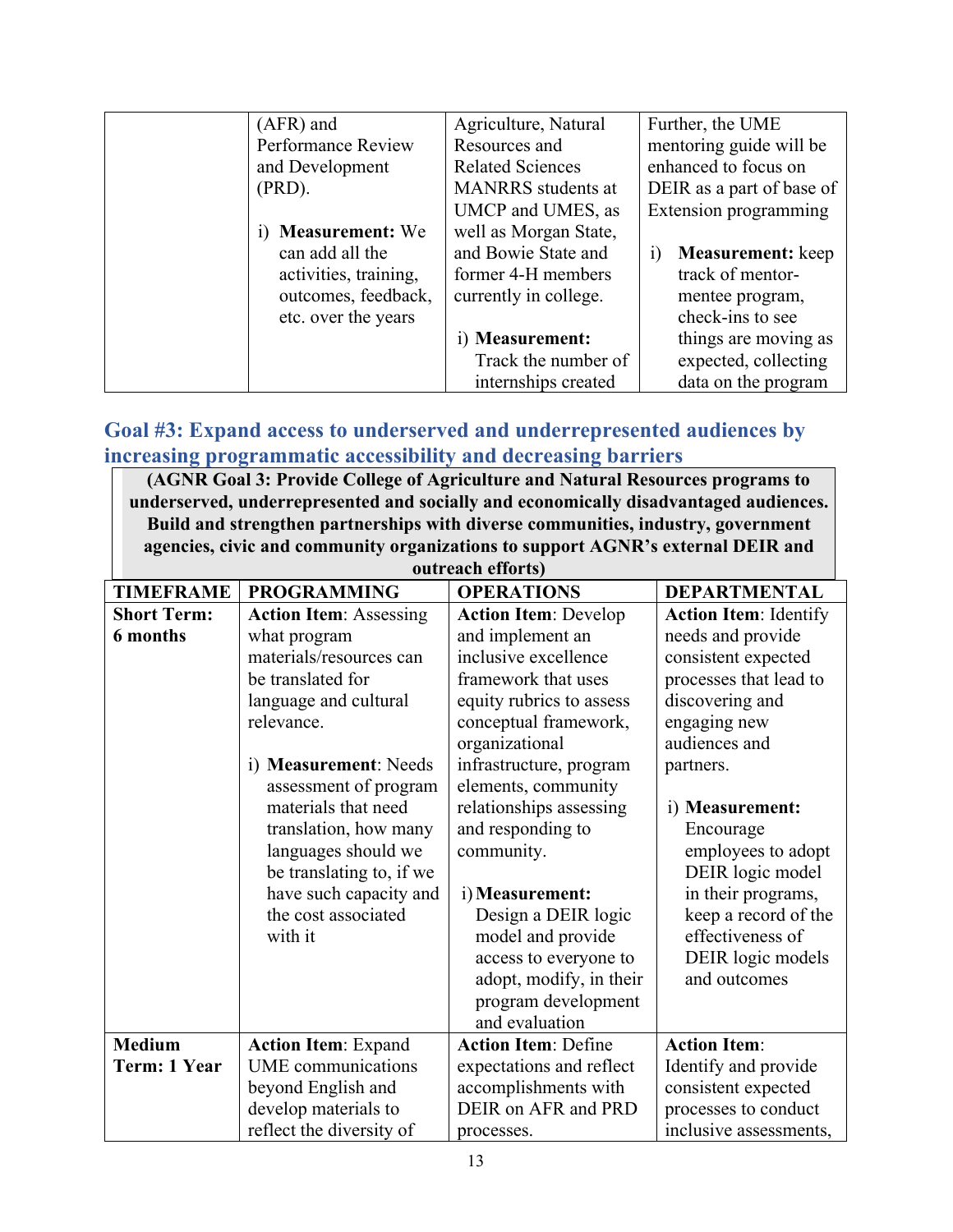| (AFR) and             | Agriculture, Natural      | Further, the UME                   |
|-----------------------|---------------------------|------------------------------------|
| Performance Review    | Resources and             | mentoring guide will be            |
| and Development       | <b>Related Sciences</b>   | enhanced to focus on               |
| $(PRD)$ .             | <b>MANRRS</b> students at | DEIR as a part of base of          |
|                       | UMCP and UMES, as         | Extension programming              |
| i) Measurement: We    | well as Morgan State,     |                                    |
| can add all the       | and Bowie State and       | <b>Measurement:</b> keep<br>$_{1}$ |
| activities, training, | former 4-H members        | track of mentor-                   |
| outcomes, feedback,   | currently in college.     | mentee program,                    |
| etc. over the years   |                           | check-ins to see                   |
|                       | i) Measurement:           | things are moving as               |
|                       | Track the number of       | expected, collecting               |
|                       | internships created       | data on the program                |

## <span id="page-13-0"></span>**Goal #3: Expand access to underserved and underrepresented audiences by increasing programmatic accessibility and decreasing barriers**

**(AGNR Goal 3: Provide College of Agriculture and Natural Resources programs to underserved, underrepresented and socially and economically disadvantaged audiences. Build and strengthen partnerships with diverse communities, industry, government agencies, civic and community organizations to support AGNR's external DEIR and** 

| outreach efforts)  |                                                                                                                                                             |                                                                                                                                                                                                                        |                                                                                                                                                                               |  |
|--------------------|-------------------------------------------------------------------------------------------------------------------------------------------------------------|------------------------------------------------------------------------------------------------------------------------------------------------------------------------------------------------------------------------|-------------------------------------------------------------------------------------------------------------------------------------------------------------------------------|--|
| <b>TIMEFRAME</b>   | <b>PROGRAMMING</b>                                                                                                                                          | <b>OPERATIONS</b>                                                                                                                                                                                                      | <b>DEPARTMENTAL</b>                                                                                                                                                           |  |
| <b>Short Term:</b> | <b>Action Item: Assessing</b>                                                                                                                               | <b>Action Item: Develop</b>                                                                                                                                                                                            | <b>Action Item: Identify</b>                                                                                                                                                  |  |
| <b>6</b> months    | what program<br>materials/resources can<br>be translated for<br>language and cultural                                                                       | and implement an<br>inclusive excellence<br>framework that uses<br>equity rubrics to assess                                                                                                                            | needs and provide<br>consistent expected<br>processes that lead to<br>discovering and                                                                                         |  |
|                    | relevance.                                                                                                                                                  | conceptual framework,<br>organizational                                                                                                                                                                                | engaging new<br>audiences and                                                                                                                                                 |  |
|                    | i) Measurement: Needs<br>assessment of program                                                                                                              | infrastructure, program<br>elements, community                                                                                                                                                                         | partners.                                                                                                                                                                     |  |
|                    | materials that need<br>translation, how many<br>languages should we<br>be translating to, if we<br>have such capacity and<br>the cost associated<br>with it | relationships assessing<br>and responding to<br>community.<br>i) Measurement:<br>Design a DEIR logic<br>model and provide<br>access to everyone to<br>adopt, modify, in their<br>program development<br>and evaluation | i) Measurement:<br>Encourage<br>employees to adopt<br>DEIR logic model<br>in their programs,<br>keep a record of the<br>effectiveness of<br>DEIR logic models<br>and outcomes |  |
| <b>Medium</b>      | <b>Action Item: Expand</b>                                                                                                                                  | <b>Action Item: Define</b>                                                                                                                                                                                             | <b>Action Item:</b>                                                                                                                                                           |  |
| Term: 1 Year       | <b>UME</b> communications                                                                                                                                   | expectations and reflect                                                                                                                                                                                               | Identify and provide                                                                                                                                                          |  |
|                    | beyond English and                                                                                                                                          | accomplishments with                                                                                                                                                                                                   | consistent expected                                                                                                                                                           |  |
|                    | develop materials to                                                                                                                                        | DEIR on AFR and PRD                                                                                                                                                                                                    | processes to conduct                                                                                                                                                          |  |
|                    | reflect the diversity of                                                                                                                                    | processes.                                                                                                                                                                                                             | inclusive assessments,                                                                                                                                                        |  |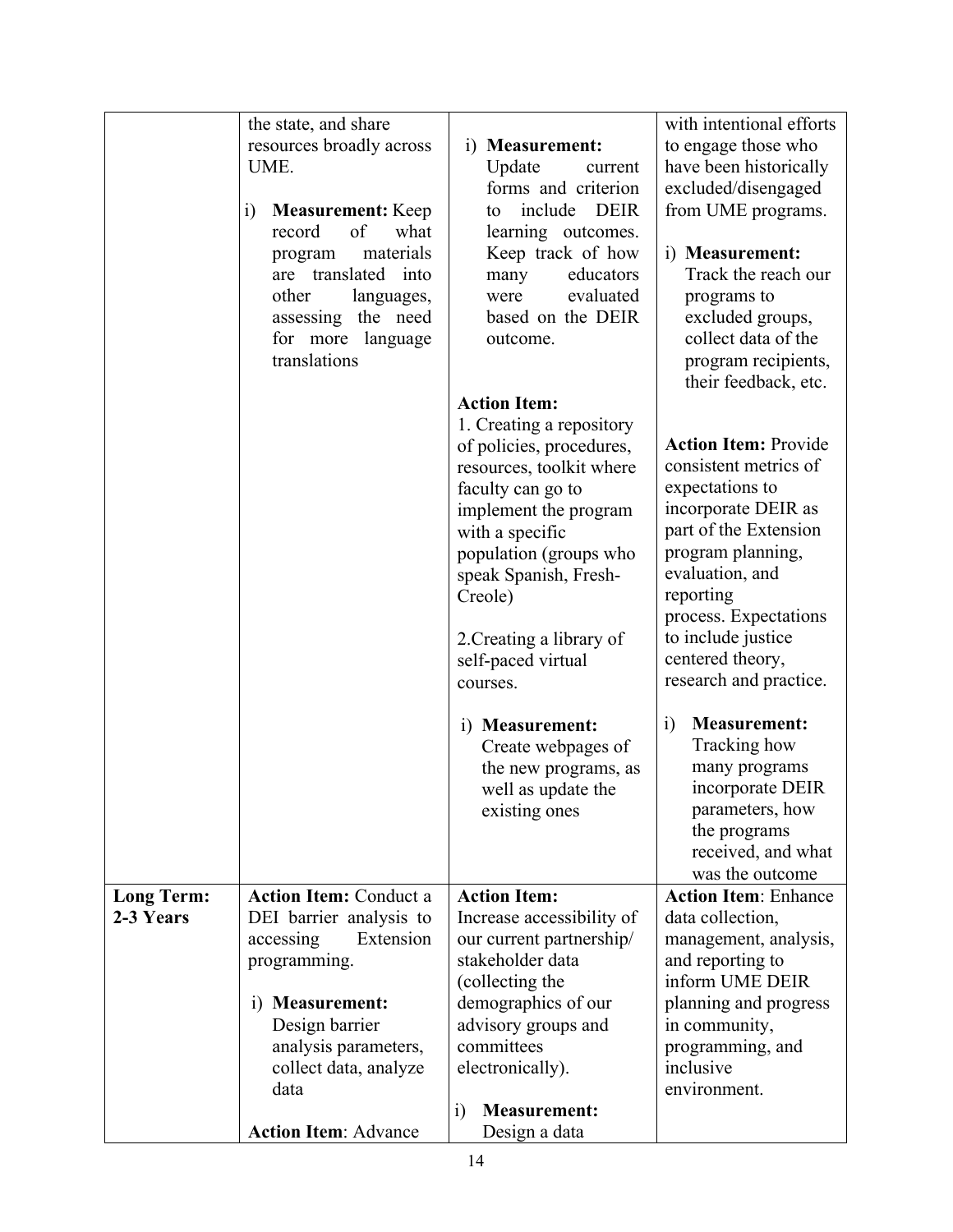|                   | the state, and share                     |                                   | with intentional efforts          |
|-------------------|------------------------------------------|-----------------------------------|-----------------------------------|
|                   | resources broadly across                 | i) Measurement:                   | to engage those who               |
|                   | UME.                                     | Update<br>current                 | have been historically            |
|                   |                                          | forms and criterion               | excluded/disengaged               |
|                   | <b>Measurement:</b> Keep<br>$\mathbf{i}$ | include DEIR<br>to                | from UME programs.                |
|                   | record<br>of<br>what                     | learning outcomes.                |                                   |
|                   | materials<br>program                     | Keep track of how                 | i) Measurement:                   |
|                   | are translated into                      | many<br>educators                 | Track the reach our               |
|                   | other<br>languages,                      | evaluated<br>were                 | programs to                       |
|                   | assessing the need                       | based on the DEIR                 | excluded groups,                  |
|                   | for more language                        | outcome.                          | collect data of the               |
|                   | translations                             |                                   | program recipients,               |
|                   |                                          |                                   | their feedback, etc.              |
|                   |                                          | <b>Action Item:</b>               |                                   |
|                   |                                          | 1. Creating a repository          |                                   |
|                   |                                          | of policies, procedures,          | <b>Action Item: Provide</b>       |
|                   |                                          | resources, toolkit where          | consistent metrics of             |
|                   |                                          | faculty can go to                 | expectations to                   |
|                   |                                          | implement the program             | incorporate DEIR as               |
|                   |                                          | with a specific                   | part of the Extension             |
|                   |                                          | population (groups who            | program planning,                 |
|                   |                                          | speak Spanish, Fresh-             | evaluation, and                   |
|                   |                                          | Creole)                           | reporting                         |
|                   |                                          |                                   | process. Expectations             |
|                   |                                          | 2. Creating a library of          | to include justice                |
|                   |                                          | self-paced virtual                | centered theory,                  |
|                   |                                          | courses.                          | research and practice.            |
|                   |                                          | i) Measurement:                   | <b>Measurement:</b><br>$\ddot{i}$ |
|                   |                                          | Create webpages of                | Tracking how                      |
|                   |                                          | the new programs, as              | many programs                     |
|                   |                                          | well as update the                | incorporate DEIR                  |
|                   |                                          | existing ones                     | parameters, how                   |
|                   |                                          |                                   | the programs                      |
|                   |                                          |                                   | received, and what                |
|                   |                                          |                                   | was the outcome                   |
| <b>Long Term:</b> | <b>Action Item: Conduct a</b>            | <b>Action Item:</b>               | <b>Action Item: Enhance</b>       |
| 2-3 Years         | DEI barrier analysis to                  | Increase accessibility of         | data collection,                  |
|                   | accessing<br>Extension                   | our current partnership/          | management, analysis,             |
|                   | programming.                             | stakeholder data                  | and reporting to                  |
|                   |                                          | (collecting the                   | inform UME DEIR                   |
|                   | i) Measurement:                          | demographics of our               | planning and progress             |
|                   | Design barrier                           | advisory groups and               | in community,                     |
|                   | analysis parameters,                     | committees                        | programming, and                  |
|                   | collect data, analyze                    | electronically).                  | inclusive                         |
|                   | data                                     |                                   | environment.                      |
|                   |                                          | $\ddot{1}$<br><b>Measurement:</b> |                                   |
|                   | <b>Action Item: Advance</b>              | Design a data                     |                                   |